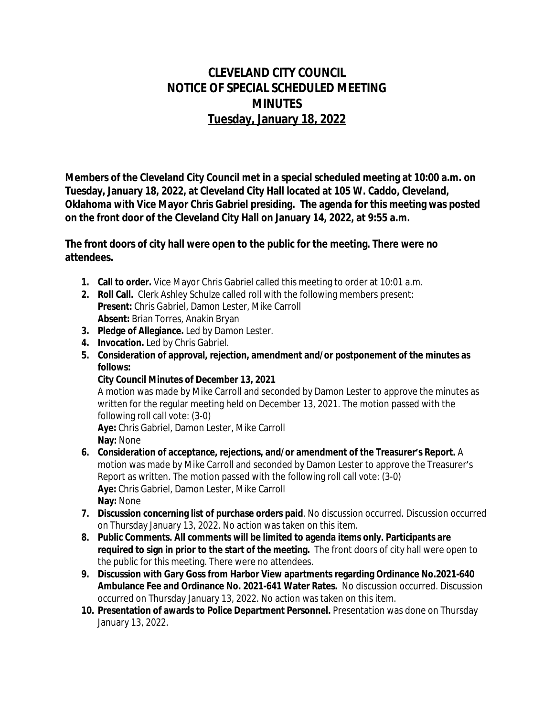## **CLEVELAND CITY COUNCIL NOTICE OF SPECIAL SCHEDULED MEETING MINUTES Tuesday, January 18, 2022**

**Members of the Cleveland City Council met in a special scheduled meeting at 10:00 a.m. on Tuesday, January 18, 2022, at Cleveland City Hall located at 105 W. Caddo, Cleveland, Oklahoma with Vice Mayor Chris Gabriel presiding. The agenda for this meeting was posted on the front door of the Cleveland City Hall on January 14, 2022, at 9:55 a.m.**

**The front doors of city hall were open to the public for the meeting. There were no attendees.**

- **1. Call to order.** Vice Mayor Chris Gabriel called this meeting to order at 10:01 a.m.
- **2. Roll Call.** Clerk Ashley Schulze called roll with the following members present: **Present:** Chris Gabriel, Damon Lester, Mike Carroll **Absent:** Brian Torres, Anakin Bryan
- **3. Pledge of Allegiance.** Led by Damon Lester.
- **4. Invocation.** Led by Chris Gabriel.
- **5. Consideration of approval, rejection, amendment and/or postponement of the minutes as follows:**
	- **City Council Minutes of December 13, 2021**

A motion was made by Mike Carroll and seconded by Damon Lester to approve the minutes as written for the regular meeting held on December 13, 2021. The motion passed with the following roll call vote: (3-0)

**Aye:** Chris Gabriel, Damon Lester, Mike Carroll **Nay:** None

- **6. Consideration of acceptance, rejections, and/or amendment of the Treasurer's Report.** A motion was made by Mike Carroll and seconded by Damon Lester to approve the Treasurer's Report as written. The motion passed with the following roll call vote: (3-0) **Aye:** Chris Gabriel, Damon Lester, Mike Carroll **Nay:** None
- **7. Discussion concerning list of purchase orders paid**. No discussion occurred. Discussion occurred on Thursday January 13, 2022. No action was taken on this item.
- **8. Public Comments. All comments will be limited to agenda items only. Participants are required to sign in prior to the start of the meeting.** The front doors of city hall were open to the public for this meeting. There were no attendees.
- **9. Discussion with Gary Goss from Harbor View apartments regarding Ordinance No.2021-640 Ambulance Fee and Ordinance No. 2021-641 Water Rates.** No discussion occurred. Discussion occurred on Thursday January 13, 2022. No action was taken on this item.
- **10. Presentation of awards to Police Department Personnel.** Presentation was done on Thursday January 13, 2022.